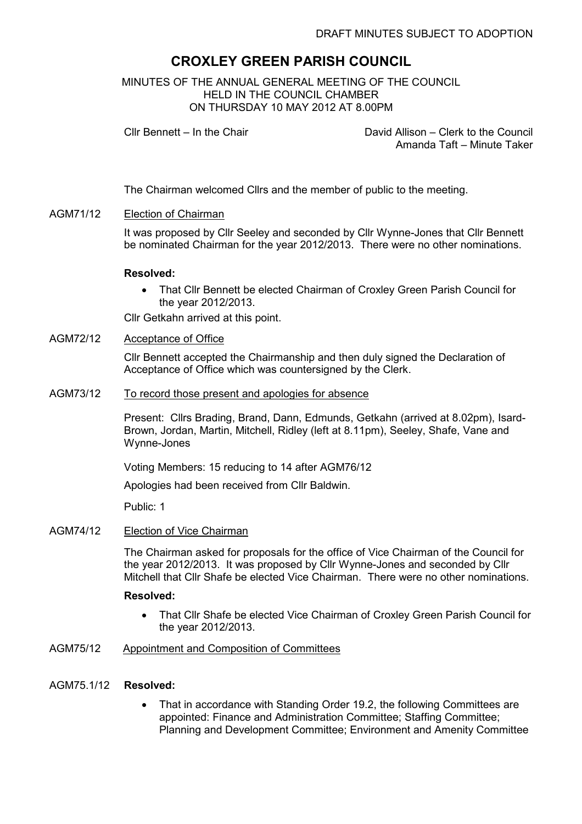# CROXLEY GREEN PARISH COUNCIL

MINUTES OF THE ANNUAL GENERAL MEETING OF THE COUNCIL HELD IN THE COUNCIL CHAMBER ON THURSDAY 10 MAY 2012 AT 8.00PM

Cllr Bennett – In the Chair David Allison – Clerk to the Council Amanda Taft – Minute Taker

The Chairman welcomed Cllrs and the member of public to the meeting.

# AGM71/12 Election of Chairman

It was proposed by Cllr Seeley and seconded by Cllr Wynne-Jones that Cllr Bennett be nominated Chairman for the year 2012/2013. There were no other nominations.

#### Resolved:

• That Cllr Bennett be elected Chairman of Croxley Green Parish Council for the year 2012/2013.

Cllr Getkahn arrived at this point.

# AGM72/12 Acceptance of Office

Cllr Bennett accepted the Chairmanship and then duly signed the Declaration of Acceptance of Office which was countersigned by the Clerk.

#### AGM73/12 To record those present and apologies for absence

Present: Cllrs Brading, Brand, Dann, Edmunds, Getkahn (arrived at 8.02pm), Isard-Brown, Jordan, Martin, Mitchell, Ridley (left at 8.11pm), Seeley, Shafe, Vane and Wynne-Jones

Voting Members: 15 reducing to 14 after AGM76/12

Apologies had been received from Cllr Baldwin.

Public: 1

# AGM74/12 Election of Vice Chairman

The Chairman asked for proposals for the office of Vice Chairman of the Council for the year 2012/2013. It was proposed by Cllr Wynne-Jones and seconded by Cllr Mitchell that Cllr Shafe be elected Vice Chairman. There were no other nominations.

#### Resolved:

• That Cllr Shafe be elected Vice Chairman of Croxley Green Parish Council for the year 2012/2013.

## AGM75/12 Appointment and Composition of Committees

#### AGM75.1/12 Resolved:

• That in accordance with Standing Order 19.2, the following Committees are appointed: Finance and Administration Committee; Staffing Committee; Planning and Development Committee; Environment and Amenity Committee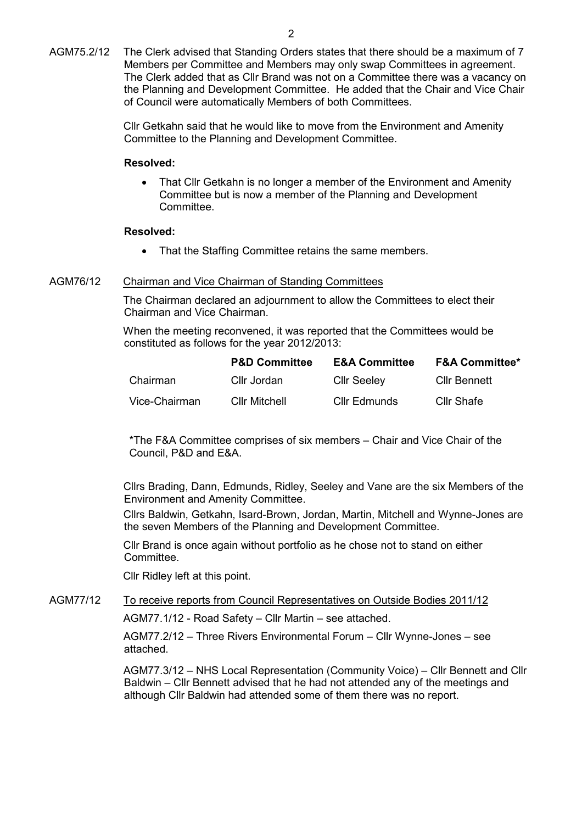Cllr Getkahn said that he would like to move from the Environment and Amenity Committee to the Planning and Development Committee.

## Resolved:

• That Cllr Getkahn is no longer a member of the Environment and Amenity Committee but is now a member of the Planning and Development Committee.

# Resolved:

• That the Staffing Committee retains the same members.

# AGM76/12 Chairman and Vice Chairman of Standing Committees

The Chairman declared an adjournment to allow the Committees to elect their Chairman and Vice Chairman.

When the meeting reconvened, it was reported that the Committees would be constituted as follows for the year 2012/2013:

|               | <b>P&amp;D Committee</b> | <b>E&amp;A Committee</b> | <b>F&amp;A Committee*</b> |
|---------------|--------------------------|--------------------------|---------------------------|
| Chairman      | Cllr Jordan              | <b>Cllr Seeley</b>       | <b>Cllr Bennett</b>       |
| Vice-Chairman | <b>Cllr Mitchell</b>     | Cllr Edmunds             | <b>Cllr Shafe</b>         |

\*The F&A Committee comprises of six members – Chair and Vice Chair of the Council, P&D and E&A.

Cllrs Brading, Dann, Edmunds, Ridley, Seeley and Vane are the six Members of the Environment and Amenity Committee.

Cllrs Baldwin, Getkahn, Isard-Brown, Jordan, Martin, Mitchell and Wynne-Jones are the seven Members of the Planning and Development Committee.

Cllr Brand is once again without portfolio as he chose not to stand on either Committee.

Cllr Ridley left at this point.

# AGM77/12 To receive reports from Council Representatives on Outside Bodies 2011/12

AGM77.1/12 - Road Safety – Cllr Martin – see attached.

AGM77.2/12 – Three Rivers Environmental Forum – Cllr Wynne-Jones – see attached.

AGM77.3/12 – NHS Local Representation (Community Voice) – Cllr Bennett and Cllr Baldwin – Cllr Bennett advised that he had not attended any of the meetings and although Cllr Baldwin had attended some of them there was no report.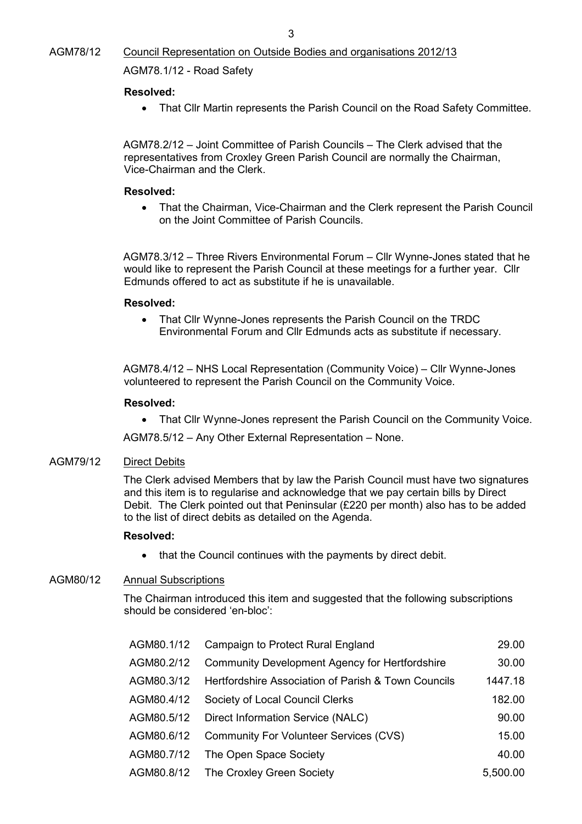# Resolved:

• That Cllr Martin represents the Parish Council on the Road Safety Committee.

AGM78.2/12 – Joint Committee of Parish Councils – The Clerk advised that the representatives from Croxley Green Parish Council are normally the Chairman, Vice-Chairman and the Clerk.

#### Resolved:

• That the Chairman, Vice-Chairman and the Clerk represent the Parish Council on the Joint Committee of Parish Councils.

AGM78.3/12 – Three Rivers Environmental Forum – Cllr Wynne-Jones stated that he would like to represent the Parish Council at these meetings for a further year. Cllr Edmunds offered to act as substitute if he is unavailable.

#### Resolved:

• That Cllr Wynne-Jones represents the Parish Council on the TRDC Environmental Forum and Cllr Edmunds acts as substitute if necessary.

AGM78.4/12 – NHS Local Representation (Community Voice) – Cllr Wynne-Jones volunteered to represent the Parish Council on the Community Voice.

# Resolved:

• That Cllr Wynne-Jones represent the Parish Council on the Community Voice.

AGM78.5/12 – Any Other External Representation – None.

## AGM79/12 Direct Debits

The Clerk advised Members that by law the Parish Council must have two signatures and this item is to regularise and acknowledge that we pay certain bills by Direct Debit. The Clerk pointed out that Peninsular (£220 per month) also has to be added to the list of direct debits as detailed on the Agenda.

## Resolved:

• that the Council continues with the payments by direct debit.

# AGM80/12 Annual Subscriptions

The Chairman introduced this item and suggested that the following subscriptions should be considered 'en-bloc':

| AGM80.1/12 | Campaign to Protect Rural England                     | 29.00    |
|------------|-------------------------------------------------------|----------|
| AGM80.2/12 | <b>Community Development Agency for Hertfordshire</b> | 30.00    |
| AGM80.3/12 | Hertfordshire Association of Parish & Town Councils   | 1447.18  |
| AGM80.4/12 | Society of Local Council Clerks                       | 182.00   |
| AGM80.5/12 | Direct Information Service (NALC)                     | 90.00    |
| AGM80.6/12 | Community For Volunteer Services (CVS)                | 15.00    |
| AGM80.7/12 | The Open Space Society                                | 40.00    |
| AGM80.8/12 | The Croxley Green Society                             | 5,500.00 |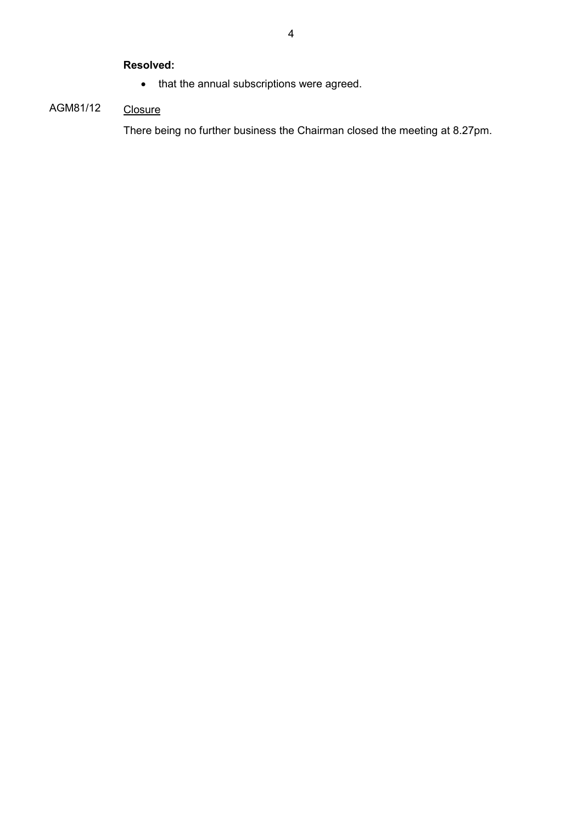# Resolved:

• that the annual subscriptions were agreed.

# AGM81/12 Closure

There being no further business the Chairman closed the meeting at 8.27pm.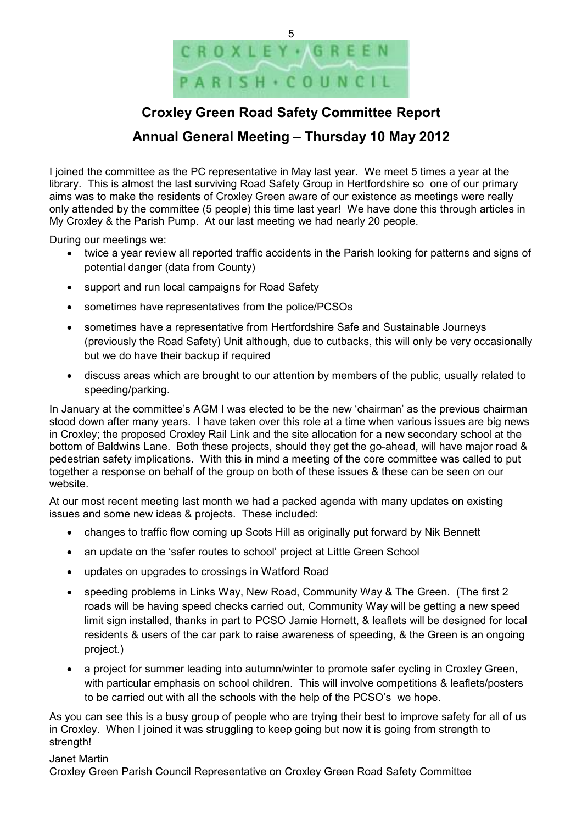

# Croxley Green Road Safety Committee Report

# Annual General Meeting – Thursday 10 May 2012

I joined the committee as the PC representative in May last year. We meet 5 times a year at the library. This is almost the last surviving Road Safety Group in Hertfordshire so one of our primary aims was to make the residents of Croxley Green aware of our existence as meetings were really only attended by the committee (5 people) this time last year! We have done this through articles in My Croxley & the Parish Pump. At our last meeting we had nearly 20 people.

During our meetings we:

- twice a year review all reported traffic accidents in the Parish looking for patterns and signs of potential danger (data from County)
- support and run local campaigns for Road Safety
- sometimes have representatives from the police/PCSOs
- sometimes have a representative from Hertfordshire Safe and Sustainable Journeys (previously the Road Safety) Unit although, due to cutbacks, this will only be very occasionally but we do have their backup if required
- discuss areas which are brought to our attention by members of the public, usually related to speeding/parking.

In January at the committee's AGM I was elected to be the new 'chairman' as the previous chairman stood down after many years. I have taken over this role at a time when various issues are big news in Croxley; the proposed Croxley Rail Link and the site allocation for a new secondary school at the bottom of Baldwins Lane. Both these projects, should they get the go-ahead, will have major road & pedestrian safety implications. With this in mind a meeting of the core committee was called to put together a response on behalf of the group on both of these issues & these can be seen on our website.

At our most recent meeting last month we had a packed agenda with many updates on existing issues and some new ideas & projects. These included:

- changes to traffic flow coming up Scots Hill as originally put forward by Nik Bennett
- an update on the 'safer routes to school' project at Little Green School
- updates on upgrades to crossings in Watford Road
- speeding problems in Links Way, New Road, Community Way & The Green. (The first 2 roads will be having speed checks carried out, Community Way will be getting a new speed limit sign installed, thanks in part to PCSO Jamie Hornett, & leaflets will be designed for local residents & users of the car park to raise awareness of speeding, & the Green is an ongoing project.)
- a project for summer leading into autumn/winter to promote safer cycling in Croxley Green, with particular emphasis on school children. This will involve competitions & leaflets/posters to be carried out with all the schools with the help of the PCSO's we hope.

As you can see this is a busy group of people who are trying their best to improve safety for all of us in Croxley. When I joined it was struggling to keep going but now it is going from strength to strength!

#### Janet Martin

Croxley Green Parish Council Representative on Croxley Green Road Safety Committee